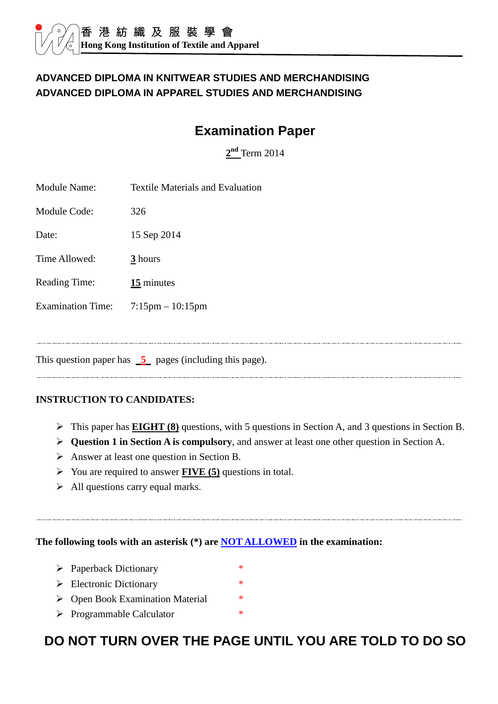### **ADVANCED DIPLOMA IN KNITWEAR STUDIES AND MERCHANDISING ADVANCED DIPLOMA IN APPAREL STUDIES AND MERCHANDISING**

# **Examination Paper**

**2 nd** Term 2014

| <b>Module Name:</b>      | <b>Textile Materials and Evaluation</b> |
|--------------------------|-----------------------------------------|
| Module Code:             | 326                                     |
| Date:                    | 15 Sep 2014                             |
| Time Allowed:            | 3 hours                                 |
| <b>Reading Time:</b>     | $15$ minutes                            |
| <b>Examination Time:</b> | $7:15 \text{pm} - 10:15 \text{pm}$      |
|                          |                                         |
|                          |                                         |

This question paper has **5** pages (including this page).

#### **INSTRUCTION TO CANDIDATES:**

- This paper has **EIGHT (8)** questions, with 5 questions in Section A, and 3 questions in Section B.
- **Question 1 in Section A is compulsory**, and answer at least one other question in Section A.
- $\triangleright$  Answer at least one question in Section B.
- You are required to answer **FIVE (5)** questions in total.
- $\triangleright$  All questions carry equal marks.

#### **The following tools with an asterisk (\*) are NOT ALLOWED in the examination:**

- $\triangleright$  Paperback Dictionary \*
- $\triangleright$  Electronic Dictionary \*
- ▶ Open Book Examination Material \*
- > Programmable Calculator \*

# **DO NOT TURN OVER THE PAGE UNTIL YOU ARE TOLD TO DO SO**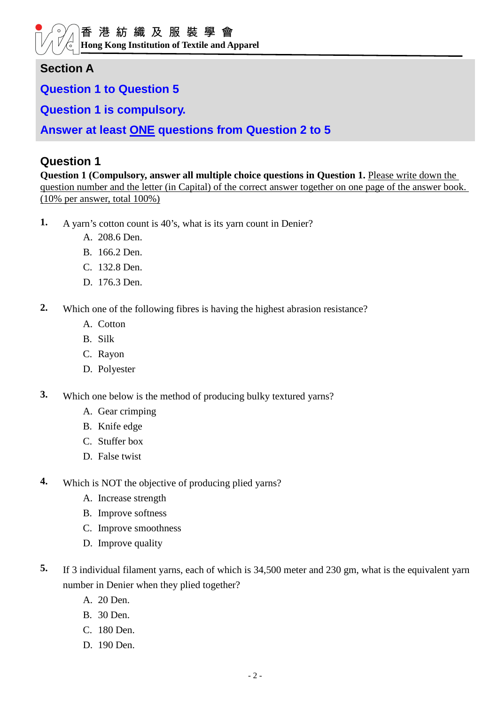**Hong Kong Institution of Textile and Apparel** 

### **Section A**

**Question 1 to Question 5** 

**Question 1 is compulsory.** 

**Answer at least ONE questions from Question 2 to 5**

#### **Question 1**

**Question 1 (Compulsory, answer all multiple choice questions in Question 1. Please write down the** question number and the letter (in Capital) of the correct answer together on one page of the answer book. (10% per answer, total 100%)

- **1.** A yarn's cotton count is 40's, what is its yarn count in Denier?
	- A. 208.6 Den.
	- B. 166.2 Den.
	- C. 132.8 Den.
	- D. 176.3 Den.
- **2.** Which one of the following fibres is having the highest abrasion resistance?
	- A. Cotton
	- B. Silk
	- C. Rayon
	- D. Polyester
- **3.** Which one below is the method of producing bulky textured yarns?
	- A. Gear crimping
	- B. Knife edge
	- C. Stuffer box
	- D. False twist
- **4.** Which is NOT the objective of producing plied yarns?
	- A. Increase strength
	- B. Improve softness
	- C. Improve smoothness
	- D. Improve quality
- **5.** If 3 individual filament yarns, each of which is 34,500 meter and 230 gm, what is the equivalent yarn number in Denier when they plied together?
	- A. 20 Den.
	- B. 30 Den.
	- C. 180 Den.
	- D. 190 Den.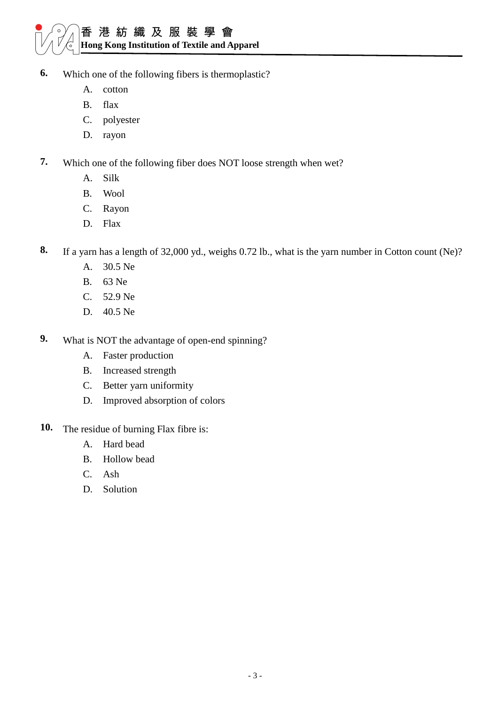# 香港紡織及服裝學會 **Hong Kong Institution of Textile and Apparel**

- **6.** Which one of the following fibers is thermoplastic?
	- A. cotton
	- B. flax
	- C. polyester
	- D. rayon
- **7.** Which one of the following fiber does NOT loose strength when wet?
	- A. Silk
	- B. Wool
	- C. Rayon
	- D. Flax

**8.** If a yarn has a length of 32,000 yd., weighs 0.72 lb., what is the yarn number in Cotton count (Ne)?

- A. 30.5 Ne
- B. 63 Ne
- C. 52.9 Ne
- D. 40.5 Ne
- **9.** What is NOT the advantage of open-end spinning?
	- A. Faster production
	- B. Increased strength
	- C. Better yarn uniformity
	- D. Improved absorption of colors
- 10. The residue of burning Flax fibre is:
	- A. Hard bead
	- B. Hollow bead
	- C. Ash
	- D. Solution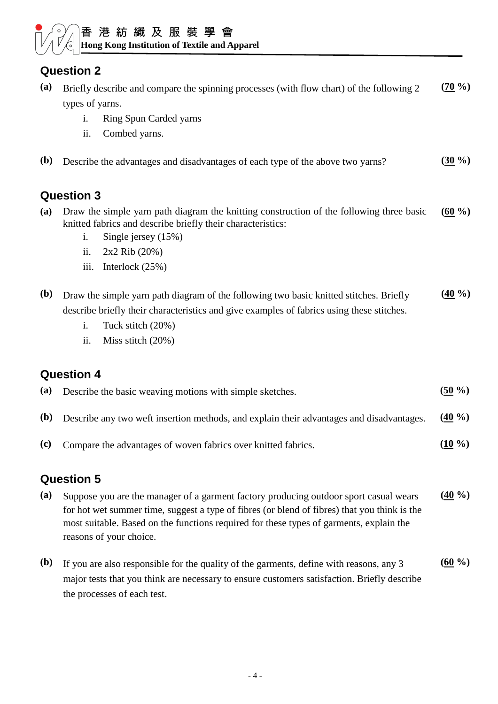#### 香 港 紡 織 及 服 裝 學 會  $\sum_{i=1}^{n}$ **Hong Kong Institution of Textile and Apparel**

# **Question 2**

| (a)          | Briefly describe and compare the spinning processes (with flow chart) of the following 2<br>types of yarns.                                                                                                                                                                                                 | $(70\%)$             |
|--------------|-------------------------------------------------------------------------------------------------------------------------------------------------------------------------------------------------------------------------------------------------------------------------------------------------------------|----------------------|
|              | <b>Ring Spun Carded yarns</b><br>i.                                                                                                                                                                                                                                                                         |                      |
|              | Combed yarns.<br>ii.                                                                                                                                                                                                                                                                                        |                      |
| ( <b>b</b> ) | Describe the advantages and disadvantages of each type of the above two yarns?                                                                                                                                                                                                                              | $(30\%)$             |
|              | <b>Question 3</b>                                                                                                                                                                                                                                                                                           |                      |
| (a)          | Draw the simple yarn path diagram the knitting construction of the following three basic<br>knitted fabrics and describe briefly their characteristics:<br>Single jersey (15%)<br>i.                                                                                                                        | $(60\% )$            |
|              | ii.<br>2x2 Rib (20%)                                                                                                                                                                                                                                                                                        |                      |
|              | iii.<br>Interlock $(25%)$                                                                                                                                                                                                                                                                                   |                      |
| ( <b>b</b> ) | Draw the simple yarn path diagram of the following two basic knitted stitches. Briefly<br>describe briefly their characteristics and give examples of fabrics using these stitches.<br>Tuck stitch (20%)<br>i.                                                                                              | $(40\%$              |
|              | ii.<br>Miss stitch (20%)                                                                                                                                                                                                                                                                                    |                      |
|              |                                                                                                                                                                                                                                                                                                             |                      |
|              | <b>Question 4</b>                                                                                                                                                                                                                                                                                           |                      |
| (a)          | Describe the basic weaving motions with simple sketches.                                                                                                                                                                                                                                                    | $(50\%)$             |
| ( <b>b</b> ) | Describe any two weft insertion methods, and explain their advantages and disadvantages.                                                                                                                                                                                                                    | $\left(40\% \right)$ |
| (c)          | Compare the advantages of woven fabrics over knitted fabrics.                                                                                                                                                                                                                                               | $(10\%)$             |
|              | <b>Question 5</b>                                                                                                                                                                                                                                                                                           |                      |
| (a)          | Suppose you are the manager of a garment factory producing outdoor sport casual wears<br>for hot wet summer time, suggest a type of fibres (or blend of fibres) that you think is the<br>most suitable. Based on the functions required for these types of garments, explain the<br>reasons of your choice. |                      |
| ( <b>b</b> ) | If you are also responsible for the quality of the garments, define with reasons, any 3<br>major tests that you think are necessary to ensure customers satisfaction. Briefly describe<br>the processes of each test.                                                                                       | $(60\%)$             |